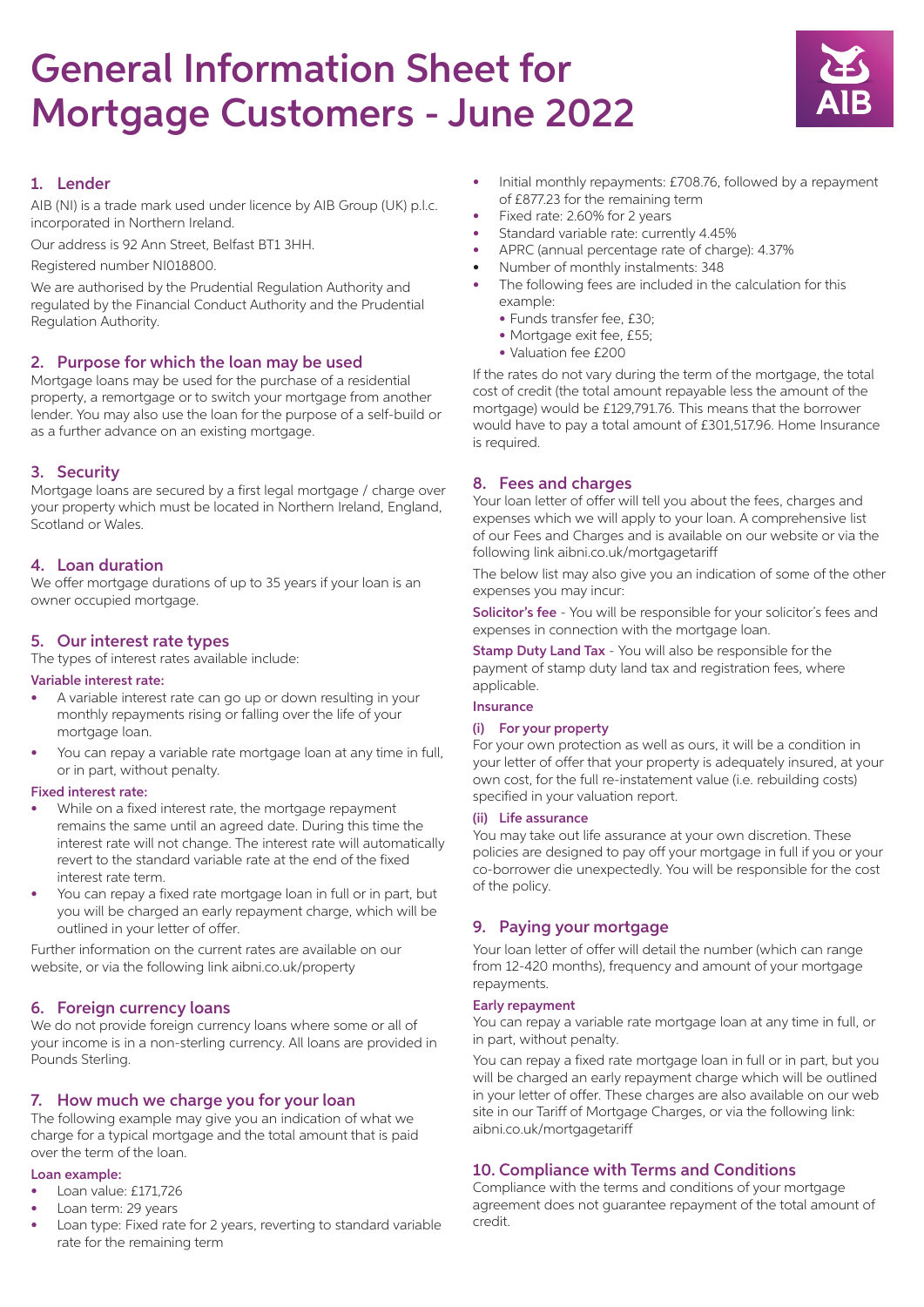# General Information Sheet for Mortgage Customers - June 2022



# 1. Lender

AIB (NI) is a trade mark used under licence by AIB Group (UK) p.l.c. incorporated in Northern Ireland.

Our address is 92 Ann Street, Belfast BT1 3HH.

Registered number NI018800.

We are authorised by the Prudential Regulation Authority and regulated by the Financial Conduct Authority and the Prudential Regulation Authority.

# 2. Purpose for which the loan may be used

Mortgage loans may be used for the purchase of a residential property, a remortgage or to switch your mortgage from another lender. You may also use the loan for the purpose of a self-build or as a further advance on an existing mortgage.

# 3. Security

Mortgage loans are secured by a first legal mortgage / charge over your property which must be located in Northern Ireland, England, Scotland or Wales.

## 4. Loan duration

We offer mortgage durations of up to 35 years if your loan is an owner occupied mortgage.

# 5. Our interest rate types

The types of interest rates available include:

#### Variable interest rate:

- A variable interest rate can go up or down resulting in your monthly repayments rising or falling over the life of your mortgage loan.
- You can repay a variable rate mortgage loan at any time in full, or in part, without penalty.

#### Fixed interest rate:

- While on a fixed interest rate, the mortgage repayment remains the same until an agreed date. During this time the interest rate will not change. The interest rate will automatically revert to the standard variable rate at the end of the fixed interest rate term.
- You can repay a fixed rate mortgage loan in full or in part, but you will be charged an early repayment charge, which will be outlined in your letter of offer.

Further information on the current rates are available on our website, or via the following link aibni.co.uk/property

## 6. Foreign currency loans

We do not provide foreign currency loans where some or all of your income is in a non-sterling currency. All loans are provided in Pounds Sterling.

# 7. How much we charge you for your loan

The following example may give you an indication of what we charge for a typical mortgage and the total amount that is paid over the term of the loan.

#### Loan example:

- Loan value: £171,726
- Loan term: 29 years
- Loan type: Fixed rate for 2 years, reverting to standard variable rate for the remaining term
- Initial monthly repayments: £708.76, followed by a repayment of £877.23 for the remaining term
- Fixed rate: 2.60% for 2 years
- Standard variable rate: currently 4.45%
- APRC (annual percentage rate of charge): 4.37%
- Number of monthly instalments: 348
- The following fees are included in the calculation for this example:
	- Funds transfer fee, £30;
	- Mortgage exit fee, £55;
	- Valuation fee £200

If the rates do not vary during the term of the mortgage, the total cost of credit (the total amount repayable less the amount of the mortgage) would be £129,791.76. This means that the borrower would have to pay a total amount of £301,517.96. Home Insurance is required.

## 8. Fees and charges

Your loan letter of offer will tell you about the fees, charges and expenses which we will apply to your loan. A comprehensive list of our Fees and Charges and is available on our website or via the following link aibni.co.uk/mortgagetariff

The below list may also give you an indication of some of the other expenses you may incur:

Solicitor's fee - You will be responsible for your solicitor's fees and expenses in connection with the mortgage loan.

**Stamp Duty Land Tax** - You will also be responsible for the payment of stamp duty land tax and registration fees, where applicable.

## Insurance

#### (i) For your property

For your own protection as well as ours, it will be a condition in your letter of offer that your property is adequately insured, at your own cost, for the full re-instatement value (i.e. rebuilding costs) specified in your valuation report.

#### (ii) Life assurance

You may take out life assurance at your own discretion. These policies are designed to pay off your mortgage in full if you or your co-borrower die unexpectedly. You will be responsible for the cost of the policy.

# 9. Paying your mortgage

Your loan letter of offer will detail the number (which can range from 12-420 months), frequency and amount of your mortgage repayments.

#### Early repayment

You can repay a variable rate mortgage loan at any time in full, or in part, without penalty.

You can repay a fixed rate mortgage loan in full or in part, but you will be charged an early repayment charge which will be outlined in your letter of offer. These charges are also available on our web site in our Tariff of Mortgage Charges, or via the following link: aibni.co.uk/mortgagetariff

# 10. Compliance with Terms and Conditions

Compliance with the terms and conditions of your mortgage agreement does not guarantee repayment of the total amount of credit.